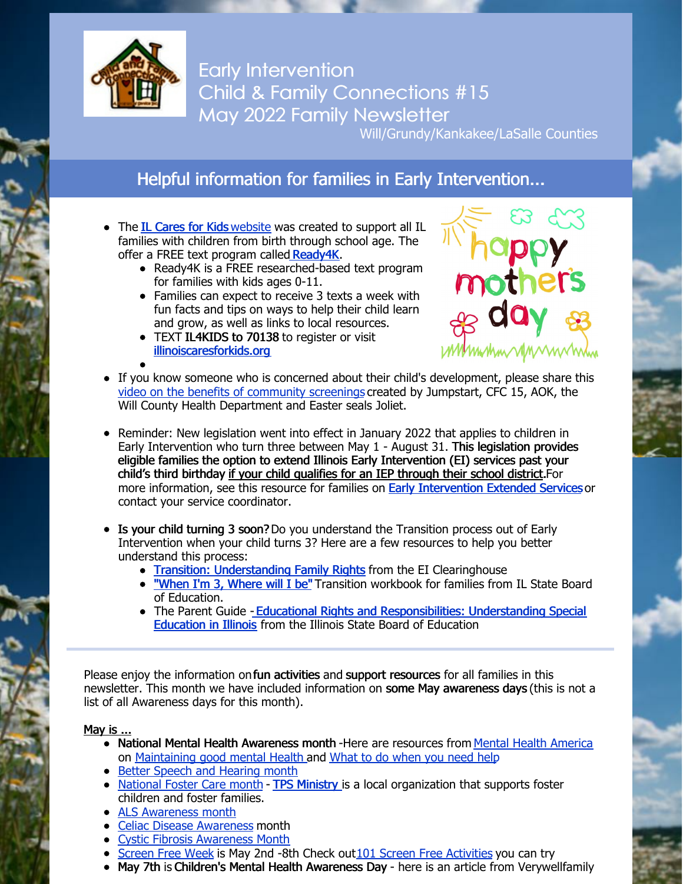

Early Intervention Child & Family Connections #15 May 2022 Family Newsletter

Will/Grundy/Kankakee/LaSalle Counties

## Helpful information for families in Early Intervention...

- The **IL [Cares](https://www.illinoiscaresforkids.org/) for Kids** [website](https://www.illinoiscaresforkids.org/) was created to support all IL families with children from birth through school age. The offer a FREE text program calle[d](https://www.illinoiscaresforkids.org/ready4k) [Ready4K](https://www.illinoiscaresforkids.org/ready4k).
	- Ready4K is a FREE researched-based text program for families with kids ages 0-11.
	- Families can expect to receive 3 texts a week with fun facts and tips on ways to help their child learn and grow, as well as links to local resources.
	- TEXT IL4KIDS to 70138 to register or visit [illinoiscaresforkids.org](https://www.illinoiscaresforkids.org/)



- If you know someone who is concerned about their child's development, please share this video on the benefits of [community](https://www.easterseals.com/mtffc/asq/) screenings created by Jumpstart, CFC 15, AOK, the Will County Health Department and Easter seals Joliet.
- Reminder: New legislation went into effect in January 2022 that applies to children in Early Intervention who turn three between May 1 - August 31. This legislation provides eligible families the option to extend Illinois Early Intervention (EI) services past your child's third birthday if your child qualifies for an IEP through their school district.For more information, see this resource for families on Early [Intervention](https://files.constantcontact.com/1edf8441301/75cd7df1-d3b9-4d60-81b5-657b58d25549.pdf?rdr=true) Extended Services or contact your service coordinator.
- Is your child turning 3 soon? Do you understand the Transition process out of Early Intervention when your child turns 3? Here are a few resources to help you better understand this process:
	- Transition: [Understanding](https://files.constantcontact.com/1edf8441301/d908f093-bb3b-42be-98db-75e4eda29a21.pdf?rdr=true) Family Rights from the EI Clearinghouse
	- . ["When](https://www.childfind-idea-il.us/Materials/transition_workbook.pdf) I'm 3, Where will I be" Transition workbook for families from IL State Board of Education.
	- The Parent Guide Educational Rights and [Responsibilities:](https://files.constantcontact.com/1edf8441301/c1a2f500-bb28-4237-a2ff-3f6f28d9c38b.pdf?rdr=true) Understanding Special Education in Illinois from the Illinois State Board of Education

Please enjoy the information on fun activities and support resources for all families in this newsletter. This month we have included information on some May awareness days (this is not a list of all Awareness days for this month).

#### May is ...

- National Mental Health Awareness month -Here are resources from Mental Health [America](https://mhanational.org/live-b4stage4) on [Maintaining](https://mhanational.org/sites/default/files/Fact Sheet MHM 2022 - 3. Maintaining Good Mental Health.pdf) good mental Health and What to do [when](https://mhanational.org/sites/default/files/Fact Sheet MHM 2022 - 5. What To Do When You Need Help.pdf) you need help
- Better Speech and [Hearing](https://www.cdc.gov/nceh/features/better-hearing-and-speech-month/index.html#:~:text=Help ensure that no one,%2DHearing Association (ASHA).) month
- [National](https://www.childwelfare.gov/fostercaremonth/about/) Foster Care month TPS [Ministry](https://www.tpsministry.org/) is a local organization that supports foster children and foster families.
- ALS [Awareness](https://www.als.org/blog/als-awareness-month-how-our-fight-continues) month
- Celiac Disease [Awareness](https://celiac.org/) month
- Cystic Fibrosis [Awareness](https://www.cff.org/intro-cf/about-cystic-fibrosis) Month
- [Screen](https://www.screenfree.org/) Free Week is May 2nd -8th Check out 101 Screen Free [Activities](https://www.screenfree.org/project/101-screen-free-activities/) you can try
- May 7th is Children's Mental Health Awareness Day here is an article from Verywellfamily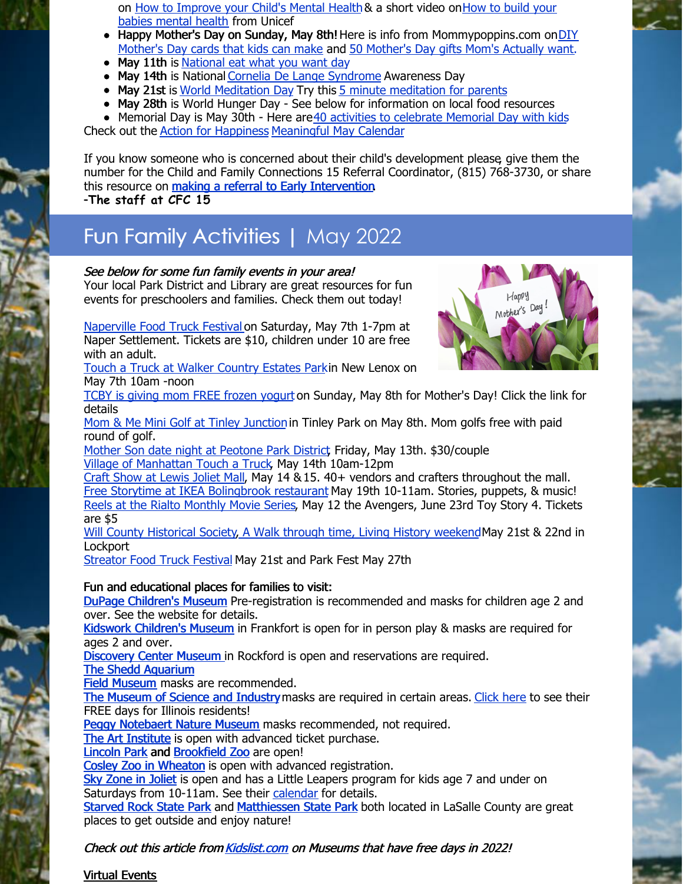on How to [Improve](https://www.unicef.org/parenting/health/building-your-babys-mental-health) your Child's Mental Health& a short video onHow to build your babies mental health from Unicef

- Happy Mother's Day on Sunday, May 8th! Here is info from [Mommypoppins.com](https://mommypoppins.com/community/diy-mothers-day-cards-kids-can-make) on DIY Mother's Day cards that kids can make and 50 [Mother's](https://mommypoppins.com/kids/holidays/the-mothers-day-gifts-moms-actually-want-for-mothers-day-2021) Day gifts Mom's Actually want.
- May 11th is [National](https://nationaldaycalendar.com/national-eat-what-you-want-day-may-11/) eat what you want day
- May 14th is National Cornelia De Lange [Syndrome](https://www.cdlsusa.org/) Awareness Day
- May 21st is World [Meditation](https://mindfulnessbox.com/world-meditation-day-is-may-21/) Day Try this 5 minute [meditation](https://www.youtube.com/watch?v=gpX0pFWOSbE) for parents
- May 28th is World Hunger Day See below for information on local food resources
- $\bullet$  Memorial Day is May 30th Here are 40 activities to [celebrate](https://parade.com/1042081/jessicasager/how-to-celebrate-memorial-day/) Memorial Day with kids

Check out the Action for [Happiness](https://actionforhappiness.org/) [Meaningful](https://actionforhappiness.org/sites/default/files/May 2022.pdf) May Calendar

If you know someone who is concerned about their child's development please, give them the number for the Child and Family Connections 15 Referral Coordinator, (815) 768-3730, or share this resource on making a referral to Early [Intervention](https://files.constantcontact.com/1edf8441301/0aee9df5-600b-4833-a177-1be9d8e93774.pdf?rdr=true). -**The staff at CFC 15**

# Fun Family Activities | May 2022

#### See below for some fun family events in your area!

Your local Park District and Library are great resources for fun events for preschoolers and families. Check them out today!

[Naperville](https://www.eventbrite.com/e/naperville-food-truck-festival-tickets-220883377127) Food Truck Festival on Saturday, May 7th 1-7pm at Naper Settlement. Tickets are \$10, children under 10 are free with an adult.



Mother's Day

May 7th 10am -noon TCBY is giving mom FREE [frozen](https://www.tcby.com/) yogurt on Sunday, May 8th for Mother's Day! Click the link for details

Mom & Me Mini Golf at Tinley [Junction](https://www.tinleyparkdistrict.org/calendar-of-events-at-tinley-park-park-district/?cid=mc-e2a2d4f8b0fd38fece7b28a1b0b5b849&mc_id=1581)in Tinley Park on May 8th. Mom golfs free with paid round of golf.

Mother Son date night at [Peotone](https://peotoneparkdistrict.com/event/mother-son-date-night/) Park District, Friday, May 13th. \$30/couple Village of [Manhattan](https://patch.com/illinois/manhattan/calendar/event/20220514/1829593/village-of-manhattan-touch-a-truck) Touch a Truck, May 14th 10am-12pm

Craft Show at [Lewis](https://allevents.in/joliet/mothers-day-shopping-event-louis-joliet-mall/200022058207439) Joliet Mall, May 14 &15. 40+ vendors and crafters throughout the mall. Free Storytime at IKEA [Bolingbrook](https://www.ikea.com/us/en/stores/events/bolingbrook-il/) restaurant May 19th 10-11am. Stories, puppets, & music! Reels at the Rialto [Monthly](https://rialtosquare.com/movies/) Movie Series, May 12 the Avengers, June 23rd Toy Story 4. Tickets are \$5

Will County [Historical](https://willhistory.org/) Society, A Walk through time, Living History [weekend](https://willhistory.org/events)May 21st & 22nd in **Lockport** 

[Streator](https://www.streator.org/events/index.php) Food Truck Festival May 21st and Park Fest May 27th

### Fun and educational places for families to visit:

DuPage [Children's](https://dupagechildrens.org/) Museum Pre-registration is recommended and masks for children age 2 and over. See the website for details.

Kidswork [Children's](http://kidsworkchildrensmuseum.org/) Museum in Frankfort is open for in person play & masks are required for ages 2 and over.

**[Discovery](http://www.discoverycentermuseum.org/) Center Museum in Rockford is open and reservations are required.** 

The Shedd [Aquarium](https://www.sheddaquarium.org/plan-a-visit)

Field [Museum](https://www.fieldmuseum.org/visit/maps-and-guides/know-you-go-visiting-safely-during-covid) masks are recommended.

The [Museum](https://www.msichicago.org/visit/know-before-you-go/) of Science and Industry masks are required in certain areas. [Click](https://www.msichicago.org/visit/ticket-prices/offers-and-discounts/illinois-free-days/) here to see their FREE days for Illinois residents!

Peggy [Notebaert](https://naturemuseum.org/plan-your-visit/hours/) Nature Museum masks recommended, not required.

The Art [Institute](https://www.artic.edu/visit) is open with advanced ticket purchase.

[Lincoln](https://www.lpzoo.org/) Park and [Brookfield](https://www.czs.org/KnowBeforeYouGo) Zoo are open!

Cosley Zoo in [Wheaton](https://cosleyzoo.org/) is open with advanced registration.

Sky [Zone](https://www.skyzone.com/joliet) in Joliet is open and has a Little Leapers program for kids age 7 and under on Saturdays from 10-11am. See their [calendar](https://www.skyzone.com/joliet/hours-and-calendar) for details.

[Starved](https://www.starvedrocklodge.com/starved-rock-state-park/) Rock State Park and [Matthiessen](https://www2.illinois.gov/dnr/Parks/Pages/Matthiessen.aspx) State Park both located in LaSalle County are great places to get outside and enjoy nature!

Check out this article from [Kidslist.com](https://mykidlist.com/museum-free-days/) on Museums that have free days in 2022!

Virtual Events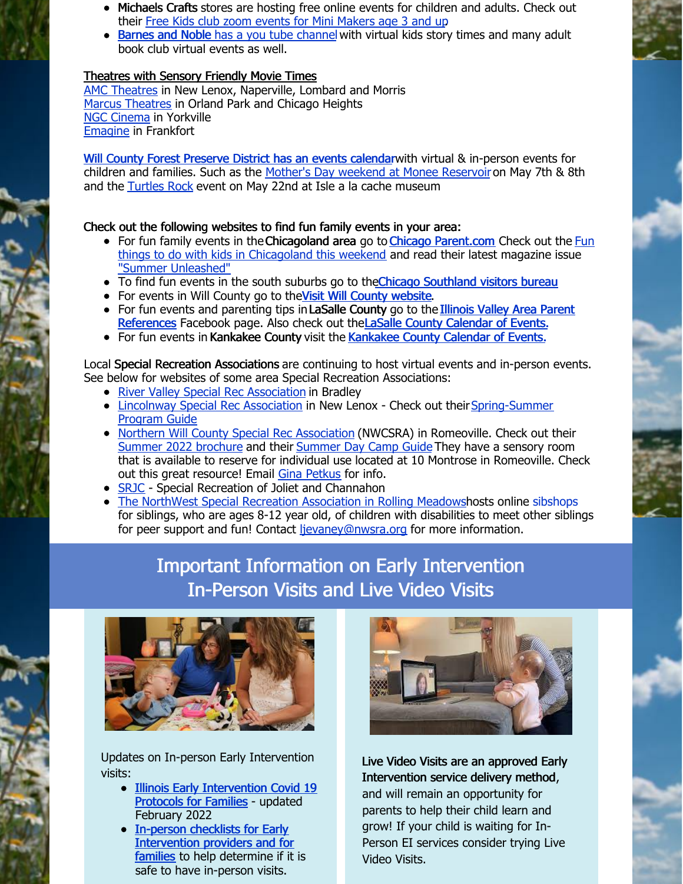- Michaels Crafts stores are hosting free online events for children and adults. Check out their Free Kids club zoom events for Mini [Makers](https://www.michaels.com/onlineclasses?category=Kids#curated_tours_list_name=Michaels_Kids_Club_Online) age 3 and up.
- [Barnes](https://www.youtube.com/playlist?list=PL9abxW7tCFZs3TT-YPnmeE4L1omE7MNN0) and Noble has a you tube [channe](https://www.youtube.com/playlist?list=PL9abxW7tCFZs3TT-YPnmeE4L1omE7MNN0)l with virtual kids story times and many adult book club virtual events as well.

#### Theatres with Sensory Friendly Movie Times

AMC [Theatres](https://www.amctheatres.com/programs/sensory-friendly-films) in New Lenox, Naperville, Lombard and Morris Marcus [Theatres](https://www.marcustheatres.com/marcus-specials/sensory-specific-films/reel-movies-for-real-needs) in Orland Park and Chicago Heights NGC [Cinema](https://ncgmovies.com/sensory-friendly/) in Yorkville [Emagine](https://www.emagine-entertainment.com/theatres/emagine-frankfort/) in Frankfort

Will County Forest [Preserve](https://www.reconnectwithnature.org/news-events/event-calendar) District has an events calendarwith virtual & in-person events for children and families. Such as the Mother's Day [weekend](https://www.reconnectwithnature.org/News-Events/Event-Calendar/May-2022/Mother-s-Day-Weekend-Monee-Reservoir-May-7) at Monee Reservoir on May 7th & 8th and the [Turtles](https://www.reconnectwithnature.org/News-Events/Event-Calendar/May-2022/Turtles-Rock) Rock event on May 22nd at Isle a la cache museum

#### Check out the following websites to find fun family events in your area:

- For fun family events in the Chicagoland area go to Chicago [Parent.com](https://www.chicagoparent.com/) Check out the Fun things to do with kids in Chicagoland this weekend and read their latest magazine issue "Summer [Unleashed"](https://mydigitalpublication.com/publication/?m=62785&l=1&p=&pn=)
- To find fun [e](https://www.visitchicagosouthland.com/Events#results)vents in the south suburbs go to the Chicago [Southland](https://www.visitchicagosouthland.com/Events#results) visitors bureau
- For events in Will County go to the Visit Will County [website](https://www.visitwill.com/familyfriendly).
- For fun events and parenting tips in LaSalle County go to the Illinois Valley Area Parent [References](https://www.facebook.com/Illinois-Valley-Area-Parent-References-123574421002507/) Facebook page. Also check out the LaSalle County [Calendar](http://www.enjoylasallecounty.com/events/) of Events.
- For fun events in [Kankakee](https://www.visitkankakeecounty.com/Events) County visit the Kankakee County Calendar of Events.

Local Special Recreation Associations are continuing to host virtual events and in-person events. See below for websites of some area Special Recreation Associations:

- River Valley Special Rec [Association](https://www.rivervalleysra.com/) in Bradley
- Lincolnway Special Rec [Association](http://lwsra.org) in New Lenox Check out their Spring-Summer Program Guide
- Northern Will County Special Rec [Association](http://nwcsra.org/) (NWCSRA) in Romeoville. Check out their Summer 2022 [brochure](https://nwcsra.org/wp-content/uploads/2022/04/Summer-2022-Brochure-Updated.pdf) and their [Summer](https://nwcsra.org/wp-content/uploads/2022/03/2022-Summer-Day-Camp-Brochure-Updated.pdf) Day Camp Guide They have a sensory room that is available to reserve for individual use located at 10 Montrose in Romeoville. Check out this great resource! Email Gina [Petkus](mailto:gpetkus@nwcsra.org) for info.
- [SRJC](https://jolietpark.org/special-recreation-of-joliet-channahon) Special Recreation of Joliet and Channahon
- The NorthWest Special Recreation [Association](https://www.nwsra.org/) in Rolling Meadowshosts [online](https://www.nwsra.org/sibshops) [sibshops](https://www.nwsra.org/sibshops) for siblings, who are ages 8-12 year old, of children with disabilities to meet other siblings for peer support and fun! Contact [ljevaney@nwsra.org](mailto:ljevaney@nwsra.org) for more information.

## Important Information on Early Intervention In-Person Visits and Live Video Visits



Updates on In-person Early Intervention visits:

- Illinois Early [Intervention](https://files.constantcontact.com/1edf8441301/58677797-0879-4a89-9308-5f6d51829ec5.pdf?rdr=true) Covid 19 Protocols for Families - updated February 2022
- In-person checklists for Early [Intervention](https://eitp.education.illinois.edu/Files/COVID19/ReEntryChecklists.pdf) providers and for families to help determine if it is safe to have in-person visits.



Live Video Visits are an approved Early Intervention service delivery method, and will remain an opportunity for parents to help their child learn and grow! If your child is waiting for In-Person EI services consider trying Live Video Visits.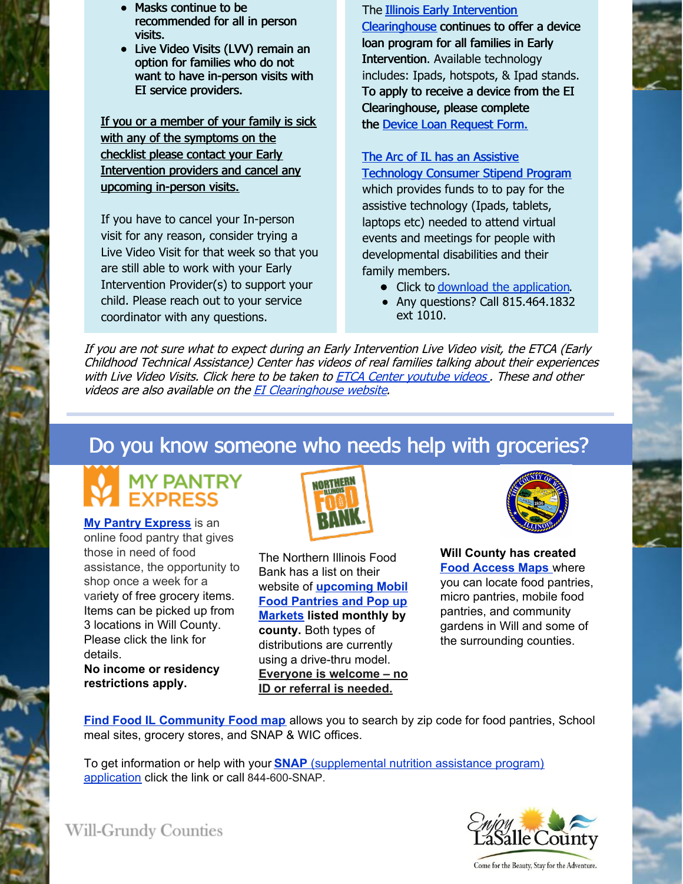- Masks continue to be recommended for all in person visits.
- Live Video Visits (LVV) remain an option for families who do not want to have in-person visits with EI service providers.

If you or a member of your family is sick with any of the symptoms on the checklist please contact your Early Intervention providers and cancel any upcoming in-person visits.

If you have to cancel your In-person visit for any reason, consider trying a Live Video Visit for that week so that you are still able to work with your Early Intervention Provider(s) to support your child. Please reach out to your service coordinator with any questions.

The **Illinois Early Intervention** [Clearinghouse](https://eiclearinghouse.org/resources/techloan/) continues to offer a device loan program for all families in Early Intervention. Available technology includes: Ipads, hotspots, & Ipad stands. To apply to receive a device from the EI Clearinghouse, please complete the Device Loan [Request](https://eiclearinghouse.org/loan/) Form.

#### The Arc of IL has an Assistive

[Technology](https://thearcofillinois.salsalabs.org/consumerstipendtechnology?wvpId=5ef4fe47-9996-4b85-a40b-c3ee919ebb09) Consumer Stipend Program which provides funds to to pay for the assistive technology (Ipads, tablets, laptops etc) needed to attend virtual events and meetings for people with developmental disabilities and their family members.

- Click to download the [application](https://files.constantcontact.com/1edf8441301/534745c6-d22f-48d4-9124-276b0d535ad9.pdf?rdr=true).
- Any questions? Call 815.464.1832 ext 1010.

If you are not sure what to expect during an Early Intervention Live Video visit, the ETCA (Early Childhood Technical Assistance) Center has videos of real families talking about their experiences with Live Video Visits. Click here to be taken to **ETCA Center [youtube](https://www.youtube.com/user/ECTACenter/videos) videos**. These and other videos are also available on the EI [Clearinghouse](https://eiclearinghouse.org/resources/trying-times/) website.

## Do you know someone who needs help with groceries?

# **MY PANTRY<br>EXPRESS**

**My Pantry [Express](https://www.mypantryexpress.org/)** is an online food pantry that gives those in need of food assistance, the opportunity to shop once a week for a variety of free grocery items. Items can be picked up from 3 locations in Will County. Please click the link for details.

**No income or residency restrictions apply.**



The Northern Illinois Food Bank has a list on their website of **[upcoming](https://solvehungertoday.org/get-help/distributions/) Mobil Food Pantries and Pop up Markets listed monthly by county.** Both types of distributions are currently using a drive-thru model. **Everyone is welcome – no ID or referral is needed.**



**Will County has created Food [Access](http://www.willcountyillinois.com/FindFood) Maps** where you can locate food pantries, micro pantries, mobile food pantries, and community gardens in Will and some of the surrounding counties.

**Find Food IL [Community](https://eat-move-save.extension.illinois.edu/#find-food-il) Food map** allows you to search by zip code for food pantries, School meal sites, grocery stores, and SNAP & WIC offices.

To get information or help with your **[SNAP](https://solvehungertoday.org/get-help/snap-food-stamps/)** [\(supplemental](https://solvehungertoday.org/get-help/snap-food-stamps/) nutrition assistance program) application click the link or call 844-600-SNAP.



Come for the Beauty, Stay for the Adventure.

**Will-Grundy Counties**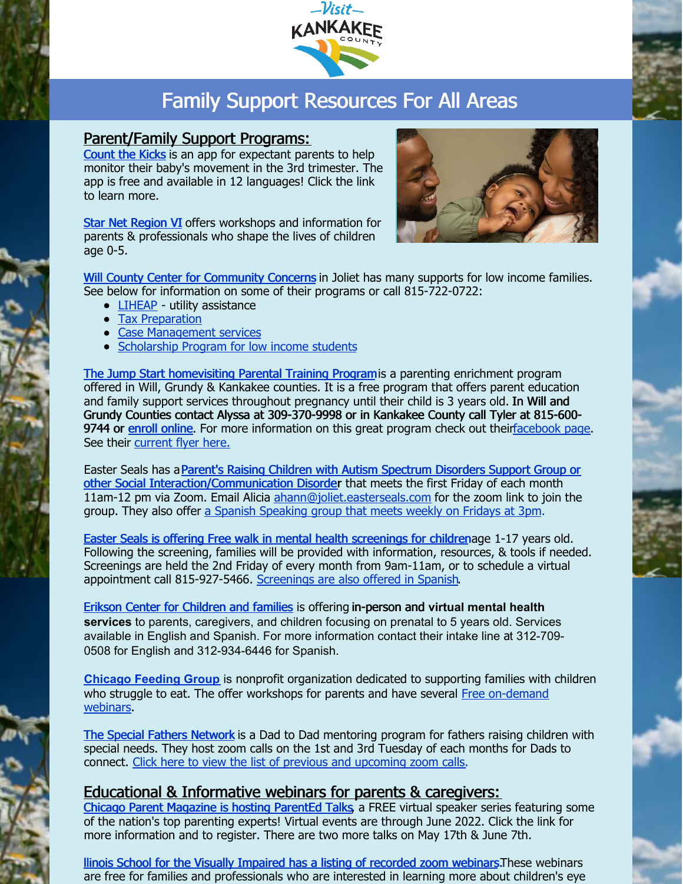

# Family Support Resources For All Areas

## Parent/Family Support Programs:

[Count](https://countthekicks.org/why-we-count/parentacademy/) the Kicks is an app for expectant parents to help monitor their baby's movement in the 3rd trimester. The app is free and available in 12 languages! Click the link to learn more.

Star Net [Region](https://www.swcccase.org/starnet) VI offers workshops and information for parents & professionals who shape the lives of children age 0-5.



Will County Center for [Community](https://wcccc.net/) Concerns in Joliet has many supports for low income families. See below for information on some of their programs or call 815-722-0722:

- [LIHEAP](https://files.constantcontact.com/1edf8441301/e7a430fc-90fe-4d69-9f81-b3ce089e605f.pdf?rdr=true) utility assistance
- Tax [Preparation](https://files.constantcontact.com/1edf8441301/f0ca05b9-531f-4c1a-9e75-79446e710fbe.pdf?rdr=true)
- **Case [Management](https://files.constantcontact.com/1edf8441301/768044b2-6d5a-43c4-b11b-c31f6984ea9c.pdf?rdr=true) services**
- [Scholarship](https://wcccc.net/individual-and-family-assistance/scholarships/) Program for low income students

The Jump Start [homevisiting](https://parentasexpert.com/) Parental Training Programis a parenting enrichment program offered in Will, Grundy & Kankakee counties. It is a free program that offers parent education and family support services throughout pregnancy until their child is 3 years old. In Will and Grundy Counties contact Alyssa at 309-370-9998 or in Kankakee County call Tyler at 815-600 9744 or enroll [online.](https://parentasexpert.com/enroll/) For more information on this great program check out thei[rfacebook](https://www.facebook.com/eastersealsjumpstart) page. See their [current](https://files.constantcontact.com/1edf8441301/e5dcc3c7-3fb1-47fc-850f-d76e0520e2f6.pdf?rdr=true) flyer here.

Easter Seals has aParent's Raising Children with Autism Spectrum Disorders Support Group or other Social [Interaction/Communication](https://files.constantcontact.com/1edf8441301/69174703-1597-4bfd-a0bd-af2e4488c6a5.pdf?rdr=true) Disorder that meets the first Friday of each month 11am-12 pm via Zoom. Email Alicia [ahann@joliet.easterseals.com](mailto:ahann@joliet.easterseals.com) for the zoom link to join the group. They also offer a Spanish [Speaking](https://files.constantcontact.com/1edf8441301/4207b08d-54a4-476f-a82a-9080e6ccc8ea.pdf?rdr=true) group that meets weekly on Fridays at 3pm.

Easter Seals is offering Free walk in mental health [screenings](https://files.constantcontact.com/1edf8441301/826f8aa6-9caf-4eb5-b2b2-60e2f2ac05be.pdf?rdr=true) for childrenage 1-17 years old. Following the screening, families will be provided with information, resources, & tools if needed. Screenings are held the 2nd Friday of every month from 9am-11am, or to schedule a virtual appointment call 815-927-5466. [Screenings](https://files.constantcontact.com/1edf8441301/2149bfdf-ce09-48e5-85ad-9e9f4a88636d.pdf?rdr=true) are also offered in Spanish.

Erikson Center for [Children](https://www.erikson.edu/center-children-families/) and families is offering in-person and **virtual mental health services** to parents, caregivers, and children focusing on prenatal to 5 years old. Services available in English and Spanish. For more information contact their intake line at 312-709- 0508 for English and 312-934-6446 for Spanish.

**[Chicago](https://chicagofeedinggroup.org/) Feeding Group** is nonprofit organization dedicated to supporting families with children who struggle to eat. The offer workshops for parents and have several Free [on-demand](https://chicagofeedinggroup.thinkific.com/) webinars.

The Special Fathers [Network](https://21stcenturydads.org/) is a Dad to Dad mentoring program for fathers raising children with special needs. They host zoom calls on the 1st and 3rd Tuesday of each months for Dads to connect. Click here to view the list of previous and [upcoming](https://21stcenturydads.org/zoom-calls/) zoom calls.

## Educational & Informative webinars for parents & caregivers:

Chicago Parent [Magazine](https://www.chicagoparent.com/parented-talks/) is hosting ParentEd Talks, a FREE virtual speaker series featuring some of the nation's top parenting experts! Virtual events are through June 2022. Click the link for more information and to register. There are two more talks on May 17th & June 7th.

llinois School for the Visually [Impaired](https://www.dhs.state.il.us/page.aspx?item=129866) has a listing of recorded zoom webinars. These webinars are free for families and professionals who are interested in learning more about children's eye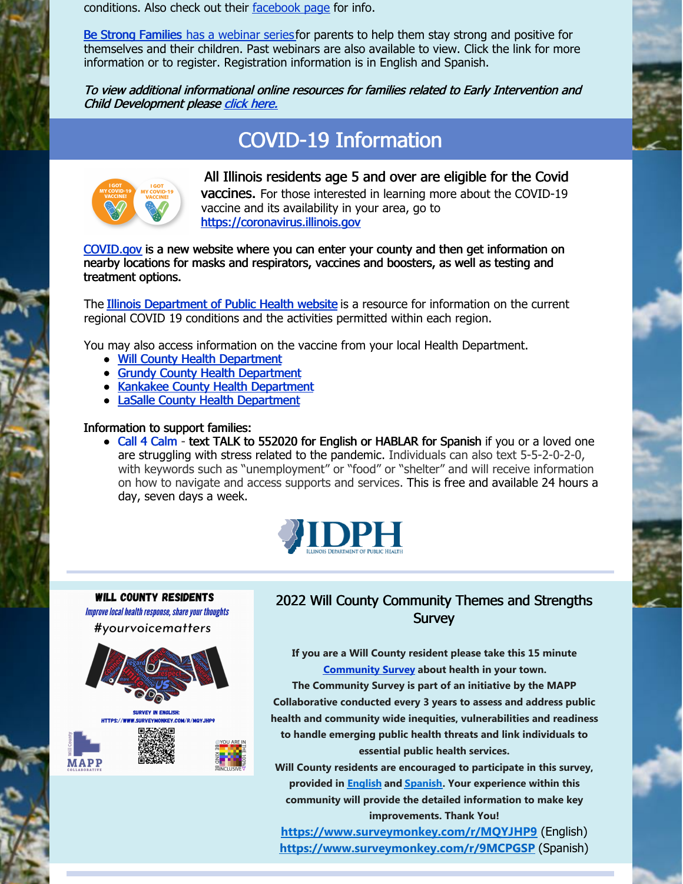conditions. Also check out their [facebook](https://www.facebook.com/Opening-Doors-Illinois-School-for-the-Visually-Impaired-1401449480093203/) page for info.

Be Strong [Families](https://www.bestrongfamilies.org/covid-19-support) has a [webinar](https://www.bestrongfamilies.org/covid-19-support) series for parents to help them stay strong and positive for themselves and their children. Past webinars are also available to view. Click the link for more information or to register. Registration information is in English and Spanish.

To view additional informational online resources for families related to Early Intervention and Child Development please click [here.](https://files.constantcontact.com/1edf8441301/e17c0c9f-1fa0-4f5e-b0b2-d6616aeefd27.pdf?rdr=true)

## COVID-19 Information



All Illinois residents age 5 and over are eligible for the Covid vaccines. For those interested in learning more about the COVID-19 vaccine and its availability in your area, go to [https://coronavirus.illinois.gov](https://coronavirus.illinois.gov/s/)

[COVID.gov](https://www.covid.gov/) is a new website where you can enter your county and then get information on nearby locations for masks and respirators, vaccines and boosters, as well as testing and treatment options.

The Illinois [Department](https://www.dph.illinois.gov/covid19) of Public Health website is a resource for information on the current regional COVID 19 conditions and the activities permitted within each region.

You may also access information on the vaccine from your local Health Department.

- Will County Health [Department](https://willcountyhealth.org/)
- Grundy County Health [Department](https://www.grundyco.org/health/)
- Kankakee County Health [Department](https://www.kankakeehealth.org/covid-19-response-and-recovery/for-individuals/)
- LaSalle County Health [Department](https://lasallecounty.org/covid-vaccine-2/)

#### Information to support families:

• Call 4 [Calm](https://namiillinois.org/call4calm-emotional-support-line/) - text TALK to 552020 for English or HABLAR for Spanish if you or a loved one are struggling with stress related to the pandemic. Individuals can also text 5-5-2-0-2-0, with keywords such as "unemployment" or "food" or "shelter" and will receive information on how to navigate and access supports and services. This is free and available 24 hours a day, seven days a week.



**WILL COUNTY RESIDENTS** Improve local health response, share your thoughts #vourvoicematters **SURVEY IN ENGLISH:** 

## 2022 Will County Community Themes and Strengths **Survey**

**If you are a Will County resident please take this 15 minute [Community](https://www.surveymonkey.com/r/MQYJHP9) Survey about health in your town.**

**The Community Survey is part of an initiative by the MAPP Collaborative conducted every 3 years to assess and address public health and community wide inequities, vulnerabilities and readiness to handle emerging public health threats and link individuals to essential public health services.**

**Will County residents are encouraged to participate in this survey, provided in [English](https://www.surveymonkey.com/r/MQYJHP9) and [Spanish](https://www.surveymonkey.com/r/9MCPGSP). Your experience within this community will provide the detailed information to make key improvements. Thank You!**

**[https://www.surveymonkey.com/r/MQYJHP9](https://nam02.safelinks.protection.outlook.com/?url=https%3A%2F%2Fwww.surveymonkey.com%2Fr%2FMQYJHP9&data=04%7C01%7Cmvalerius%40svcincofil.org%7C20f2592aed554e29e3f908d9e04977b6%7C5fe5524d9dfd41fb860fb2929134339b%7C0%7C0%7C637787428469212153%7CUnknown%7CTWFpbGZsb3d8eyJWIjoiMC4wLjAwMDAiLCJQIjoiV2luMzIiLCJBTiI6Ik1haWwiLCJXVCI6Mn0%3D%7C3000&sdata=7O2rlp%2Bl3HguJw%2FNZcbup1gvGK6gW1rV6nc%2B9RNB6bs%3D&reserved=0)** (English) **[https://www.surveymonkey.com/r/9MCPGSP](https://nam02.safelinks.protection.outlook.com/?url=https%3A%2F%2Fwww.surveymonkey.com%2Fr%2F9MCPGSP&data=04%7C01%7Cmvalerius%40svcincofil.org%7C20f2592aed554e29e3f908d9e04977b6%7C5fe5524d9dfd41fb860fb2929134339b%7C0%7C0%7C637787428469212153%7CUnknown%7CTWFpbGZsb3d8eyJWIjoiMC4wLjAwMDAiLCJQIjoiV2luMzIiLCJBTiI6Ik1haWwiLCJXVCI6Mn0%3D%7C3000&sdata=K59kl0APK0BNUv%2BAaW2nRzHMAX%2BW8AwsyMtvdFWw0DA%3D&reserved=0)** (Spanish)